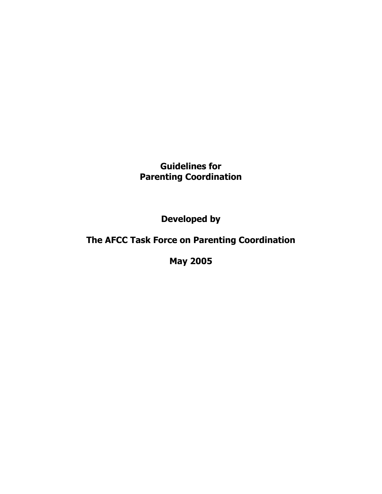# **Guidelines for Parenting Coordination**

**Developed by** 

# **The AFCC Task Force on Parenting Coordination**

**May 2005**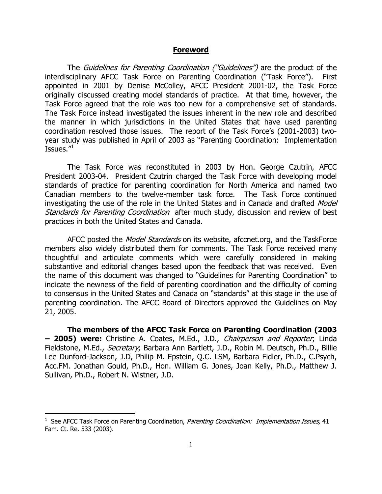#### **Foreword**

The *Guidelines for Parenting Coordination ("Guidelines")* are the product of the interdisciplinary AFCC Task Force on Parenting Coordination ("Task Force"). First appointed in 2001 by Denise McColley, AFCC President 2001-02, the Task Force originally discussed creating model standards of practice. At that time, however, the Task Force agreed that the role was too new for a comprehensive set of standards. The Task Force instead investigated the issues inherent in the new role and described the manner in which jurisdictions in the United States that have used parenting coordination resolved those issues. The report of the Task Force's (2001-2003) twoyear study was published in April of 2003 as "Parenting Coordination: Implementation Issues."1

The Task Force was reconstituted in 2003 by Hon. George Czutrin, AFCC President 2003-04. President Czutrin charged the Task Force with developing model standards of practice for parenting coordination for North America and named two Canadian members to the twelve-member task force. The Task Force continued investigating the use of the role in the United States and in Canada and drafted Model Standards for Parenting Coordination after much study, discussion and review of best practices in both the United States and Canada.

AFCC posted the *Model Standards* on its website, afccnet.org, and the TaskForce members also widely distributed them for comments. The Task Force received many thoughtful and articulate comments which were carefully considered in making substantive and editorial changes based upon the feedback that was received. Even the name of this document was changed to "Guidelines for Parenting Coordination" to indicate the newness of the field of parenting coordination and the difficulty of coming to consensus in the United States and Canada on "standards" at this stage in the use of parenting coordination. The AFCC Board of Directors approved the Guidelines on May 21, 2005.

**The members of the AFCC Task Force on Parenting Coordination (2003 – 2005) were:** Christine A. Coates, M.Ed., J.D., Chairperson and Reporter; Linda Fieldstone, M.Ed., Secretary; Barbara Ann Bartlett, J.D., Robin M. Deutsch, Ph.D., Billie Lee Dunford-Jackson, J.D, Philip M. Epstein, Q.C. LSM, Barbara Fidler, Ph.D., C.Psych, Acc.FM. Jonathan Gould, Ph.D., Hon. William G. Jones, Joan Kelly, Ph.D., Matthew J. Sullivan, Ph.D., Robert N. Wistner, J.D.

 $\overline{a}$ 

<sup>&</sup>lt;sup>1</sup> See AFCC Task Force on Parenting Coordination, Parenting Coordination: Implementation Issues, 41 Fam. Ct. Re. 533 (2003).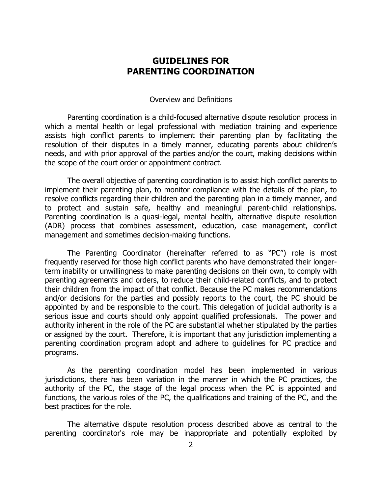# **GUIDELINES FOR PARENTING COORDINATION**

#### Overview and Definitions

 Parenting coordination is a child-focused alternative dispute resolution process in which a mental health or legal professional with mediation training and experience assists high conflict parents to implement their parenting plan by facilitating the resolution of their disputes in a timely manner, educating parents about children's needs, and with prior approval of the parties and/or the court, making decisions within the scope of the court order or appointment contract.

The overall objective of parenting coordination is to assist high conflict parents to implement their parenting plan, to monitor compliance with the details of the plan, to resolve conflicts regarding their children and the parenting plan in a timely manner, and to protect and sustain safe, healthy and meaningful parent-child relationships. Parenting coordination is a quasi-legal, mental health, alternative dispute resolution (ADR) process that combines assessment, education, case management, conflict management and sometimes decision-making functions.

The Parenting Coordinator (hereinafter referred to as "PC") role is most frequently reserved for those high conflict parents who have demonstrated their longerterm inability or unwillingness to make parenting decisions on their own, to comply with parenting agreements and orders, to reduce their child-related conflicts, and to protect their children from the impact of that conflict. Because the PC makes recommendations and/or decisions for the parties and possibly reports to the court, the PC should be appointed by and be responsible to the court. This delegation of judicial authority is a serious issue and courts should only appoint qualified professionals. The power and authority inherent in the role of the PC are substantial whether stipulated by the parties or assigned by the court. Therefore, it is important that any jurisdiction implementing a parenting coordination program adopt and adhere to guidelines for PC practice and programs.

As the parenting coordination model has been implemented in various jurisdictions, there has been variation in the manner in which the PC practices, the authority of the PC, the stage of the legal process when the PC is appointed and functions, the various roles of the PC, the qualifications and training of the PC, and the best practices for the role.

The alternative dispute resolution process described above as central to the parenting coordinator's role may be inappropriate and potentially exploited by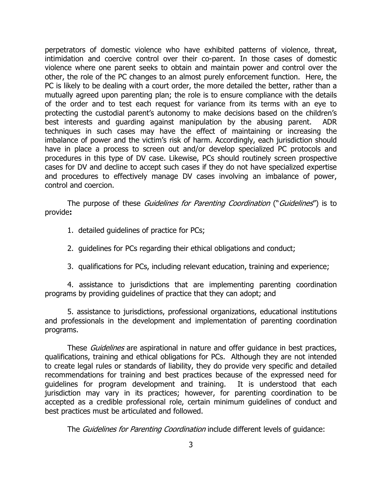perpetrators of domestic violence who have exhibited patterns of violence, threat, intimidation and coercive control over their co-parent. In those cases of domestic violence where one parent seeks to obtain and maintain power and control over the other, the role of the PC changes to an almost purely enforcement function. Here, the PC is likely to be dealing with a court order, the more detailed the better, rather than a mutually agreed upon parenting plan; the role is to ensure compliance with the details of the order and to test each request for variance from its terms with an eye to protecting the custodial parent's autonomy to make decisions based on the children's best interests and guarding against manipulation by the abusing parent. ADR techniques in such cases may have the effect of maintaining or increasing the imbalance of power and the victim's risk of harm. Accordingly, each jurisdiction should have in place a process to screen out and/or develop specialized PC protocols and procedures in this type of DV case. Likewise, PCs should routinely screen prospective cases for DV and decline to accept such cases if they do not have specialized expertise and procedures to effectively manage DV cases involving an imbalance of power, control and coercion.

The purpose of these *Guidelines for Parenting Coordination* ("*Guidelines*") is to provide**:**

- 1. detailed guidelines of practice for PCs;
- 2. guidelines for PCs regarding their ethical obligations and conduct;
- 3. qualifications for PCs, including relevant education, training and experience;

 4. assistance to jurisdictions that are implementing parenting coordination programs by providing guidelines of practice that they can adopt; and

 5. assistance to jurisdictions, professional organizations, educational institutions and professionals in the development and implementation of parenting coordination programs.

These *Guidelines* are aspirational in nature and offer quidance in best practices, qualifications, training and ethical obligations for PCs. Although they are not intended to create legal rules or standards of liability, they do provide very specific and detailed recommendations for training and best practices because of the expressed need for guidelines for program development and training. It is understood that each jurisdiction may vary in its practices; however, for parenting coordination to be accepted as a credible professional role, certain minimum guidelines of conduct and best practices must be articulated and followed.

The *Guidelines for Parenting Coordination* include different levels of quidance: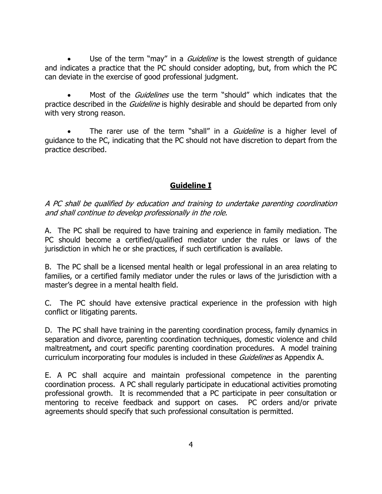Use of the term "may" in a *Guideline* is the lowest strength of quidance and indicates a practice that the PC should consider adopting, but, from which the PC can deviate in the exercise of good professional judgment.

Most of the *Guidelines* use the term "should" which indicates that the practice described in the *Guideline* is highly desirable and should be departed from only with very strong reason.

The rarer use of the term "shall" in a *Guideline* is a higher level of guidance to the PC, indicating that the PC should not have discretion to depart from the practice described.

# **Guideline I**

A PC shall be qualified by education and training to undertake parenting coordination and shall continue to develop professionally in the role.

A. The PC shall be required to have training and experience in family mediation. The PC should become a certified/qualified mediator under the rules or laws of the jurisdiction in which he or she practices, if such certification is available.

B. The PC shall be a licensed mental health or legal professional in an area relating to families, or a certified family mediator under the rules or laws of the jurisdiction with a master's degree in a mental health field.

C. The PC should have extensive practical experience in the profession with high conflict or litigating parents.

D. The PC shall have training in the parenting coordination process, family dynamics in separation and divorce, parenting coordination techniques, domestic violence and child maltreatment**,** and court specific parenting coordination procedures. A model training curriculum incorporating four modules is included in these *Guidelines* as Appendix A.

E. A PC shall acquire and maintain professional competence in the parenting coordination process. A PC shall regularly participate in educational activities promoting professional growth. It is recommended that a PC participate in peer consultation or mentoring to receive feedback and support on cases. PC orders and/or private agreements should specify that such professional consultation is permitted.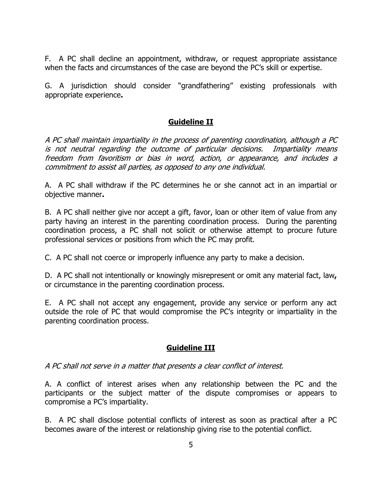F. A PC shall decline an appointment, withdraw, or request appropriate assistance when the facts and circumstances of the case are beyond the PC's skill or expertise.

G. A jurisdiction should consider "grandfathering" existing professionals with appropriate experience**.**

### **Guideline II**

A PC shall maintain impartiality in the process of parenting coordination, although a PC is not neutral regarding the outcome of particular decisions. Impartiality means freedom from favoritism or bias in word, action, or appearance, and includes a commitment to assist all parties, as opposed to any one individual.

A. A PC shall withdraw if the PC determines he or she cannot act in an impartial or objective manner**.**

B. A PC shall neither give nor accept a gift, favor, loan or other item of value from any party having an interest in the parenting coordination process. During the parenting coordination process, a PC shall not solicit or otherwise attempt to procure future professional services or positions from which the PC may profit.

C. A PC shall not coerce or improperly influence any party to make a decision.

D. A PC shall not intentionally or knowingly misrepresent or omit any material fact, law**,** or circumstance in the parenting coordination process.

E. A PC shall not accept any engagement, provide any service or perform any act outside the role of PC that would compromise the PC's integrity or impartiality in the parenting coordination process.

# **Guideline III**

A PC shall not serve in a matter that presents a clear conflict of interest.

A. A conflict of interest arises when any relationship between the PC and the participants or the subject matter of the dispute compromises or appears to compromise a PC's impartiality.

B. A PC shall disclose potential conflicts of interest as soon as practical after a PC becomes aware of the interest or relationship giving rise to the potential conflict.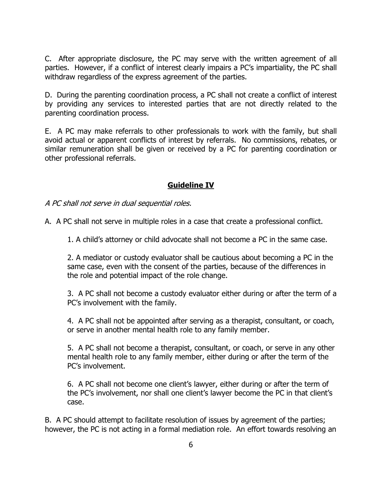C. After appropriate disclosure, the PC may serve with the written agreement of all parties. However, if a conflict of interest clearly impairs a PC's impartiality, the PC shall withdraw regardless of the express agreement of the parties.

D. During the parenting coordination process, a PC shall not create a conflict of interest by providing any services to interested parties that are not directly related to the parenting coordination process.

E. A PC may make referrals to other professionals to work with the family, but shall avoid actual or apparent conflicts of interest by referrals. No commissions, rebates, or similar remuneration shall be given or received by a PC for parenting coordination or other professional referrals.

### **Guideline IV**

A PC shall not serve in dual sequential roles.

A. A PC shall not serve in multiple roles in a case that create a professional conflict.

1. A child's attorney or child advocate shall not become a PC in the same case.

2. A mediator or custody evaluator shall be cautious about becoming a PC in the same case, even with the consent of the parties, because of the differences in the role and potential impact of the role change.

3. A PC shall not become a custody evaluator either during or after the term of a PC's involvement with the family.

4. A PC shall not be appointed after serving as a therapist, consultant, or coach, or serve in another mental health role to any family member.

5. A PC shall not become a therapist, consultant, or coach, or serve in any other mental health role to any family member, either during or after the term of the PC's involvement.

6. A PC shall not become one client's lawyer, either during or after the term of the PC's involvement, nor shall one client's lawyer become the PC in that client's case.

B. A PC should attempt to facilitate resolution of issues by agreement of the parties; however, the PC is not acting in a formal mediation role. An effort towards resolving an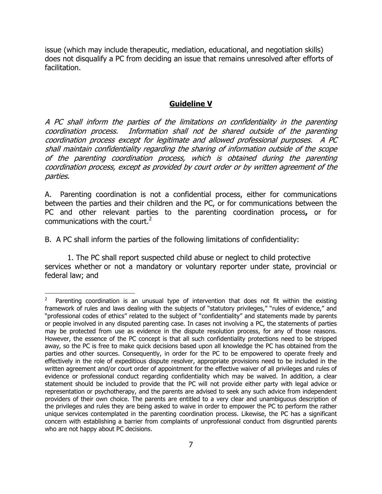issue (which may include therapeutic, mediation, educational, and negotiation skills) does not disqualify a PC from deciding an issue that remains unresolved after efforts of facilitation.

### **Guideline V**

A PC shall inform the parties of the limitations on confidentiality in the parenting coordination process. Information shall not be shared outside of the parenting coordination process except for legitimate and allowed professional purposes. A PC shall maintain confidentiality regarding the sharing of information outside of the scope of the parenting coordination process, which is obtained during the parenting coordination process, except as provided by court order or by written agreement of the parties.

A. Parenting coordination is not a confidential process, either for communications between the parties and their children and the PC, or for communications between the PC and other relevant parties to the parenting coordination process**,** or for communications with the court. $2^2$ 

B. A PC shall inform the parties of the following limitations of confidentiality:

1. The PC shall report suspected child abuse or neglect to child protective services whether or not a mandatory or voluntary reporter under state, provincial or federal law; and

 $\overline{a}$ 2 Parenting coordination is an unusual type of intervention that does not fit within the existing framework of rules and laws dealing with the subjects of "statutory privileges," "rules of evidence," and "professional codes of ethics" related to the subject of "confidentiality" and statements made by parents or people involved in any disputed parenting case. In cases not involving a PC, the statements of parties may be protected from use as evidence in the dispute resolution process, for any of those reasons. However, the essence of the PC concept is that all such confidentiality protections need to be stripped away, so the PC is free to make quick decisions based upon all knowledge the PC has obtained from the parties and other sources. Consequently, in order for the PC to be empowered to operate freely and effectively in the role of expeditious dispute resolver, appropriate provisions need to be included in the written agreement and/or court order of appointment for the effective waiver of all privileges and rules of evidence or professional conduct regarding confidentiality which may be waived. In addition, a clear statement should be included to provide that the PC will not provide either party with legal advice or representation or psychotherapy, and the parents are advised to seek any such advice from independent providers of their own choice. The parents are entitled to a very clear and unambiguous description of the privileges and rules they are being asked to waive in order to empower the PC to perform the rather unique services contemplated in the parenting coordination process. Likewise, the PC has a significant concern with establishing a barrier from complaints of unprofessional conduct from disgruntled parents who are not happy about PC decisions.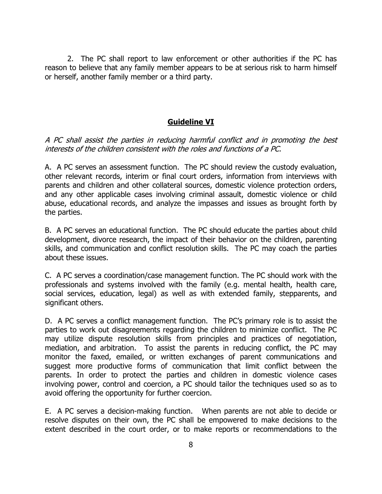2. The PC shall report to law enforcement or other authorities if the PC has reason to believe that any family member appears to be at serious risk to harm himself or herself, another family member or a third party.

### **Guideline VI**

A PC shall assist the parties in reducing harmful conflict and in promoting the best interests of the children consistent with the roles and functions of a PC.

A. A PC serves an assessment function. The PC should review the custody evaluation, other relevant records, interim or final court orders, information from interviews with parents and children and other collateral sources, domestic violence protection orders, and any other applicable cases involving criminal assault, domestic violence or child abuse, educational records, and analyze the impasses and issues as brought forth by the parties.

B. A PC serves an educational function. The PC should educate the parties about child development, divorce research, the impact of their behavior on the children, parenting skills, and communication and conflict resolution skills. The PC may coach the parties about these issues.

C. A PC serves a coordination/case management function. The PC should work with the professionals and systems involved with the family (e.g. mental health, health care, social services, education, legal) as well as with extended family, stepparents, and significant others.

D. A PC serves a conflict management function. The PC's primary role is to assist the parties to work out disagreements regarding the children to minimize conflict. The PC may utilize dispute resolution skills from principles and practices of negotiation, mediation, and arbitration. To assist the parents in reducing conflict, the PC may monitor the faxed, emailed, or written exchanges of parent communications and suggest more productive forms of communication that limit conflict between the parents. In order to protect the parties and children in domestic violence cases involving power, control and coercion, a PC should tailor the techniques used so as to avoid offering the opportunity for further coercion.

E. A PC serves a decision-making function. When parents are not able to decide or resolve disputes on their own, the PC shall be empowered to make decisions to the extent described in the court order, or to make reports or recommendations to the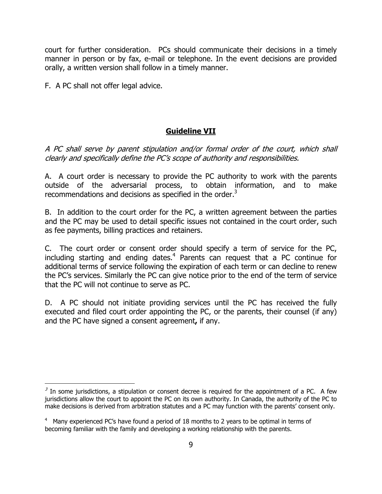court for further consideration. PCs should communicate their decisions in a timely manner in person or by fax, e-mail or telephone. In the event decisions are provided orally, a written version shall follow in a timely manner.

F. A PC shall not offer legal advice.

-

### **Guideline VII**

A PC shall serve by parent stipulation and/or formal order of the court, which shall clearly and specifically define the PC's scope of authority and responsibilities.

A. A court order is necessary to provide the PC authority to work with the parents outside of the adversarial process, to obtain information, and to make recommendations and decisions as specified in the order.<sup>3</sup>

B. In addition to the court order for the PC, a written agreement between the parties and the PC may be used to detail specific issues not contained in the court order, such as fee payments, billing practices and retainers.

C. The court order or consent order should specify a term of service for the PC, including starting and ending dates.<sup>4</sup> Parents can request that a PC continue for additional terms of service following the expiration of each term or can decline to renew the PC's services. Similarly the PC can give notice prior to the end of the term of service that the PC will not continue to serve as PC.

D. A PC should not initiate providing services until the PC has received the fully executed and filed court order appointing the PC, or the parents, their counsel (if any) and the PC have signed a consent agreement**,** if any.

 $3$  In some jurisdictions, a stipulation or consent decree is required for the appointment of a PC. A few jurisdictions allow the court to appoint the PC on its own authority. In Canada, the authority of the PC to make decisions is derived from arbitration statutes and a PC may function with the parents' consent only.

 $4$  Many experienced PC's have found a period of 18 months to 2 years to be optimal in terms of becoming familiar with the family and developing a working relationship with the parents.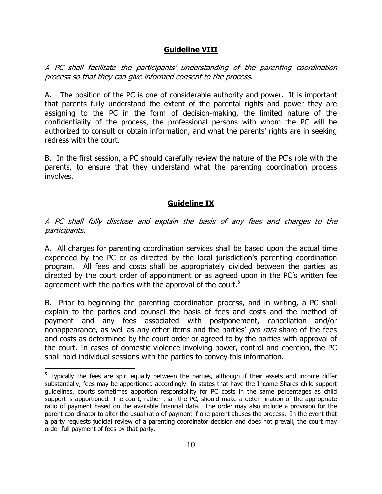### **Guideline VIII**

A PC shall facilitate the participants' understanding of the parenting coordination process so that they can give informed consent to the process.

A. The position of the PC is one of considerable authority and power. It is important that parents fully understand the extent of the parental rights and power they are assigning to the PC in the form of decision-making, the limited nature of the confidentiality of the process, the professional persons with whom the PC will be authorized to consult or obtain information, and what the parents' rights are in seeking redress with the court.

B. In the first session, a PC should carefully review the nature of the PC's role with the parents, to ensure that they understand what the parenting coordination process involves.

### **Guideline IX**

A PC shall fully disclose and explain the basis of any fees and charges to the participants.

A. All charges for parenting coordination services shall be based upon the actual time expended by the PC or as directed by the local jurisdiction's parenting coordination program. All fees and costs shall be appropriately divided between the parties as directed by the court order of appointment or as agreed upon in the PC's written fee agreement with the parties with the approval of the court.<sup>5</sup>

B. Prior to beginning the parenting coordination process, and in writing, a PC shall explain to the parties and counsel the basis of fees and costs and the method of payment and any fees associated with postponement, cancellation and/or nonappearance, as well as any other items and the parties' pro rata share of the fees and costs as determined by the court order or agreed to by the parties with approval of the court. In cases of domestic violence involving power, control and coercion, the PC shall hold individual sessions with the parties to convey this information.

 $\overline{a}$ 

<sup>&</sup>lt;sup>5</sup> Typically the fees are split equally between the parties, although if their assets and income differ substantially, fees may be apportioned accordingly. In states that have the Income Shares child support guidelines, courts sometimes apportion responsibility for PC costs in the same percentages as child support is apportioned. The court, rather than the PC, should make a determination of the appropriate ratio of payment based on the available financial data. The order may also include a provision for the parent coordinator to alter the usual ratio of payment if one parent abuses the process. In the event that a party requests judicial review of a parenting coordinator decision and does not prevail, the court may order full payment of fees by that party.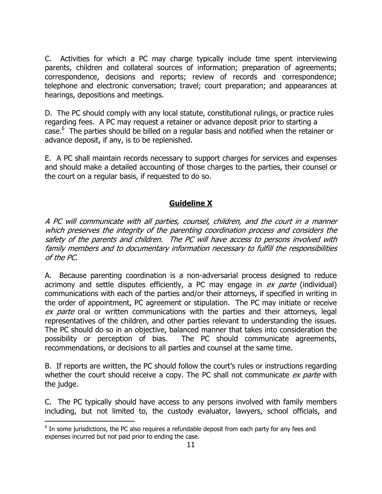C. Activities for which a PC may charge typically include time spent interviewing parents, children and collateral sources of information; preparation of agreements; correspondence, decisions and reports; review of records and correspondence; telephone and electronic conversation; travel; court preparation; and appearances at hearings, depositions and meetings.

D. The PC should comply with any local statute, constitutional rulings, or practice rules regarding fees. A PC may request a retainer or advance deposit prior to starting a case.<sup>6</sup> The parties should be billed on a regular basis and notified when the retainer or advance deposit, if any, is to be replenished.

E. A PC shall maintain records necessary to support charges for services and expenses and should make a detailed accounting of those charges to the parties, their counsel or the court on a regular basis, if requested to do so.

# **Guideline X**

A PC will communicate with all parties, counsel, children, and the court in a manner which preserves the integrity of the parenting coordination process and considers the safety of the parents and children. The PC will have access to persons involved with family members and to documentary information necessary to fulfill the responsibilities of the PC.

A. Because parenting coordination is a non-adversarial process designed to reduce acrimony and settle disputes efficiently, a PC may engage in  $ex$  parte (individual) communications with each of the parties and/or their attorneys, if specified in writing in the order of appointment, PC agreement or stipulation. The PC may initiate or receive ex parte oral or written communications with the parties and their attorneys, legal representatives of the children, and other parties relevant to understanding the issues. The PC should do so in an objective, balanced manner that takes into consideration the possibility or perception of bias. The PC should communicate agreements, recommendations, or decisions to all parties and counsel at the same time.

B. If reports are written, the PC should follow the court's rules or instructions regarding whether the court should receive a copy. The PC shall not communicate  $ex$  parte with the judge.

C. The PC typically should have access to any persons involved with family members including, but not limited to, the custody evaluator, lawyers, school officials, and

-

 $6$  In some jurisdictions, the PC also requires a refundable deposit from each party for any fees and expenses incurred but not paid prior to ending the case.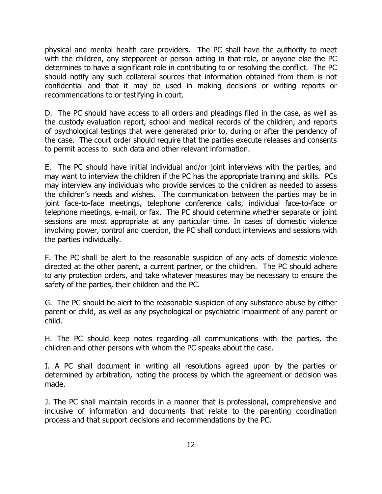physical and mental health care providers. The PC shall have the authority to meet with the children, any stepparent or person acting in that role, or anyone else the PC determines to have a significant role in contributing to or resolving the conflict. The PC should notify any such collateral sources that information obtained from them is not confidential and that it may be used in making decisions or writing reports or recommendations to or testifying in court.

D. The PC should have access to all orders and pleadings filed in the case, as well as the custody evaluation report, school and medical records of the children, and reports of psychological testings that were generated prior to, during or after the pendency of the case. The court order should require that the parties execute releases and consents to permit access to such data and other relevant information.

E. The PC should have initial individual and/or joint interviews with the parties, and may want to interview the children if the PC has the appropriate training and skills. PCs may interview any individuals who provide services to the children as needed to assess the children's needs and wishes. The communication between the parties may be in joint face-to-face meetings, telephone conference calls, individual face-to-face or telephone meetings, e-mail, or fax. The PC should determine whether separate or joint sessions are most appropriate at any particular time. In cases of domestic violence involving power, control and coercion, the PC shall conduct interviews and sessions with the parties individually.

F. The PC shall be alert to the reasonable suspicion of any acts of domestic violence directed at the other parent, a current partner, or the children. The PC should adhere to any protection orders, and take whatever measures may be necessary to ensure the safety of the parties, their children and the PC.

G. The PC should be alert to the reasonable suspicion of any substance abuse by either parent or child, as well as any psychological or psychiatric impairment of any parent or child.

H. The PC should keep notes regarding all communications with the parties, the children and other persons with whom the PC speaks about the case.

I. A PC shall document in writing all resolutions agreed upon by the parties or determined by arbitration, noting the process by which the agreement or decision was made.

J. The PC shall maintain records in a manner that is professional, comprehensive and inclusive of information and documents that relate to the parenting coordination process and that support decisions and recommendations by the PC.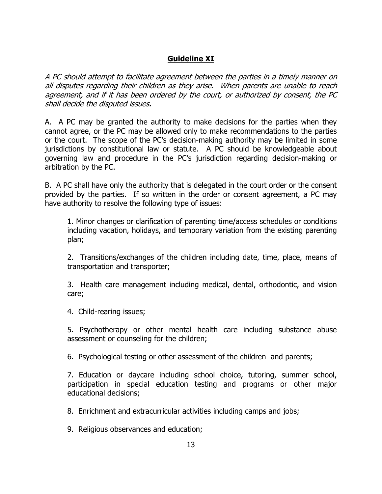### **Guideline XI**

A PC should attempt to facilitate agreement between the parties in a timely manner on all disputes regarding their children as they arise. When parents are unable to reach agreement, and if it has been ordered by the court, or authorized by consent, the PC shall decide the disputed issues**.**

A. A PC may be granted the authority to make decisions for the parties when they cannot agree, or the PC may be allowed only to make recommendations to the parties or the court. The scope of the PC's decision-making authority may be limited in some jurisdictions by constitutional law or statute. A PC should be knowledgeable about governing law and procedure in the PC's jurisdiction regarding decision-making or arbitration by the PC.

B. A PC shall have only the authority that is delegated in the court order or the consent provided by the parties. If so written in the order or consent agreement, a PC may have authority to resolve the following type of issues:

1. Minor changes or clarification of parenting time/access schedules or conditions including vacation, holidays, and temporary variation from the existing parenting plan;

2. Transitions/exchanges of the children including date, time, place, means of transportation and transporter;

3. Health care management including medical, dental, orthodontic, and vision care;

4. Child-rearing issues;

5. Psychotherapy or other mental health care including substance abuse assessment or counseling for the children;

6. Psychological testing or other assessment of the children and parents;

7. Education or daycare including school choice, tutoring, summer school, participation in special education testing and programs or other major educational decisions;

8. Enrichment and extracurricular activities including camps and jobs;

9. Religious observances and education;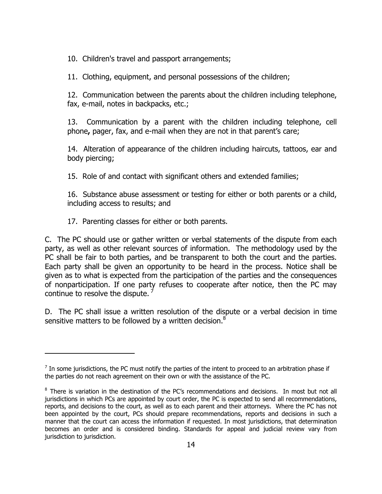10. Children's travel and passport arrangements;

11. Clothing, equipment, and personal possessions of the children;

12. Communication between the parents about the children including telephone, fax, e-mail, notes in backpacks, etc.;

13. Communication by a parent with the children including telephone, cell phone**,** pager, fax, and e-mail when they are not in that parent's care;

14. Alteration of appearance of the children including haircuts, tattoos, ear and body piercing;

15. Role of and contact with significant others and extended families;

16. Substance abuse assessment or testing for either or both parents or a child, including access to results; and

17. Parenting classes for either or both parents.

-

C. The PC should use or gather written or verbal statements of the dispute from each party, as well as other relevant sources of information. The methodology used by the PC shall be fair to both parties, and be transparent to both the court and the parties. Each party shall be given an opportunity to be heard in the process. Notice shall be given as to what is expected from the participation of the parties and the consequences of nonparticipation. If one party refuses to cooperate after notice, then the PC may continue to resolve the dispute.

D. The PC shall issue a written resolution of the dispute or a verbal decision in time sensitive matters to be followed by a written decision.<sup>8</sup>

 $^7$  In some jurisdictions, the PC must notify the parties of the intent to proceed to an arbitration phase if the parties do not reach agreement on their own or with the assistance of the PC.

<sup>&</sup>lt;sup>8</sup> There is variation in the destination of the PC's recommendations and decisions. In most but not all jurisdictions in which PCs are appointed by court order, the PC is expected to send all recommendations, reports, and decisions to the court, as well as to each parent and their attorneys. Where the PC has not been appointed by the court, PCs should prepare recommendations, reports and decisions in such a manner that the court can access the information if requested. In most jurisdictions, that determination becomes an order and is considered binding. Standards for appeal and judicial review vary from jurisdiction to jurisdiction.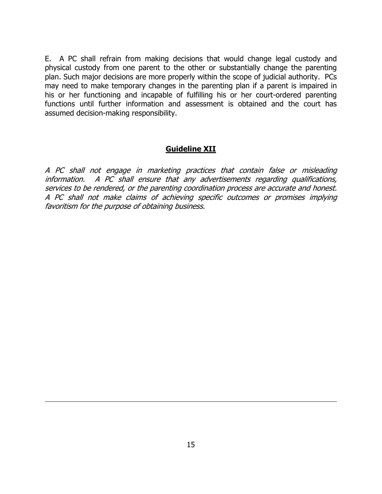E. A PC shall refrain from making decisions that would change legal custody and physical custody from one parent to the other or substantially change the parenting plan. Such major decisions are more properly within the scope of judicial authority. PCs may need to make temporary changes in the parenting plan if a parent is impaired in his or her functioning and incapable of fulfilling his or her court-ordered parenting functions until further information and assessment is obtained and the court has assumed decision-making responsibility.

### **Guideline XII**

A PC shall not engage in marketing practices that contain false or misleading information. A PC shall ensure that any advertisements regarding qualifications, services to be rendered, or the parenting coordination process are accurate and honest. A PC shall not make claims of achieving specific outcomes or promises implying favoritism for the purpose of obtaining business.

 $\overline{a}$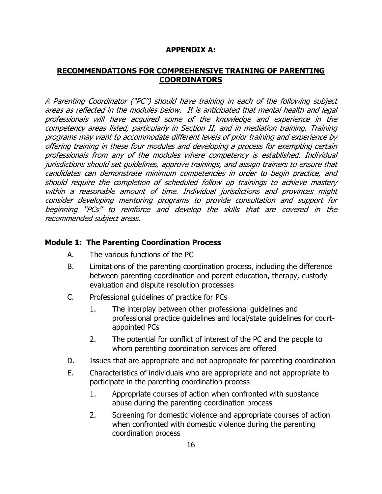### **APPENDIX A:**

### **RECOMMENDATIONS FOR COMPREHENSIVE TRAINING OF PARENTING COORDINATORS**

A Parenting Coordinator ("PC") should have training in each of the following subject areas as reflected in the modules below. It is anticipated that mental health and legal professionals will have acquired some of the knowledge and experience in the competency areas listed, particularly in Section II, and in mediation training. Training programs may want to accommodate different levels of prior training and experience by offering training in these four modules and developing a process for exempting certain professionals from any of the modules where competency is established. Individual jurisdictions should set guidelines, approve trainings, and assign trainers to ensure that candidates can demonstrate minimum competencies in order to begin practice, and should require the completion of scheduled follow up trainings to achieve mastery within a reasonable amount of time. Individual jurisdictions and provinces might consider developing mentoring programs to provide consultation and support for beginning "PCs" to reinforce and develop the skills that are covered in the recommended subject areas.

### **Module 1: The Parenting Coordination Process**

- A. The various functions of the PC
- B. Limitations of the parenting coordination process, including the difference between parenting coordination and parent education, therapy, custody evaluation and dispute resolution processes
- C. Professional guidelines of practice for PCs
	- 1. The interplay between other professional guidelines and professional practice guidelines and local/state guidelines for courtappointed PCs
	- 2. The potential for conflict of interest of the PC and the people to whom parenting coordination services are offered
- D. Issues that are appropriate and not appropriate for parenting coordination
- E. Characteristics of individuals who are appropriate and not appropriate to participate in the parenting coordination process
	- 1. Appropriate courses of action when confronted with substance abuse during the parenting coordination process
	- 2. Screening for domestic violence and appropriate courses of action when confronted with domestic violence during the parenting coordination process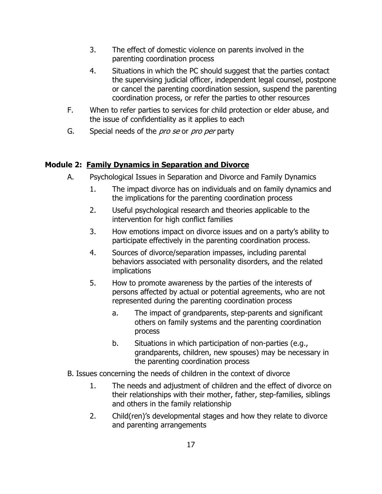- 3. The effect of domestic violence on parents involved in the parenting coordination process
- 4. Situations in which the PC should suggest that the parties contact the supervising judicial officer, independent legal counsel, postpone or cancel the parenting coordination session, suspend the parenting coordination process, or refer the parties to other resources
- F. When to refer parties to services for child protection or elder abuse, and the issue of confidentiality as it applies to each
- G. Special needs of the *pro se* or *pro per* party

### **Module 2: Family Dynamics in Separation and Divorce**

- A. Psychological Issues in Separation and Divorce and Family Dynamics
	- 1. The impact divorce has on individuals and on family dynamics and the implications for the parenting coordination process
	- 2. Useful psychological research and theories applicable to the intervention for high conflict families
	- 3. How emotions impact on divorce issues and on a party's ability to participate effectively in the parenting coordination process.
	- 4. Sources of divorce/separation impasses, including parental behaviors associated with personality disorders, and the related implications
	- 5. How to promote awareness by the parties of the interests of persons affected by actual or potential agreements, who are not represented during the parenting coordination process
		- a. The impact of grandparents, step-parents and significant others on family systems and the parenting coordination process
		- b. Situations in which participation of non-parties (e.g., grandparents, children, new spouses) may be necessary in the parenting coordination process
- B. Issues concerning the needs of children in the context of divorce
	- 1. The needs and adjustment of children and the effect of divorce on their relationships with their mother, father, step-families, siblings and others in the family relationship
	- 2. Child(ren)'s developmental stages and how they relate to divorce and parenting arrangements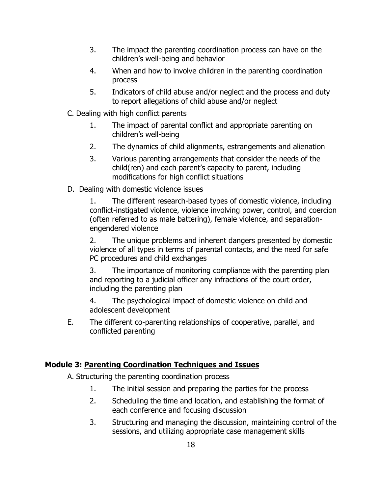- 3. The impact the parenting coordination process can have on the children's well-being and behavior
- 4. When and how to involve children in the parenting coordination process
- 5. Indicators of child abuse and/or neglect and the process and duty to report allegations of child abuse and/or neglect
- C. Dealing with high conflict parents
	- 1. The impact of parental conflict and appropriate parenting on children's well-being
	- 2. The dynamics of child alignments, estrangements and alienation
	- 3. Various parenting arrangements that consider the needs of the child(ren) and each parent's capacity to parent, including modifications for high conflict situations
- D. Dealing with domestic violence issues

 1. The different research-based types of domestic violence, including conflict-instigated violence, violence involving power, control, and coercion (often referred to as male battering), female violence, and separationengendered violence

 2. The unique problems and inherent dangers presented by domestic violence of all types in terms of parental contacts, and the need for safe PC procedures and child exchanges

 3. The importance of monitoring compliance with the parenting plan and reporting to a judicial officer any infractions of the court order, including the parenting plan

 4. The psychological impact of domestic violence on child and adolescent development

E. The different co-parenting relationships of cooperative, parallel, and conflicted parenting

# **Module 3: Parenting Coordination Techniques and Issues**

A. Structuring the parenting coordination process

- 1. The initial session and preparing the parties for the process
- 2. Scheduling the time and location, and establishing the format of each conference and focusing discussion
- 3. Structuring and managing the discussion, maintaining control of the sessions, and utilizing appropriate case management skills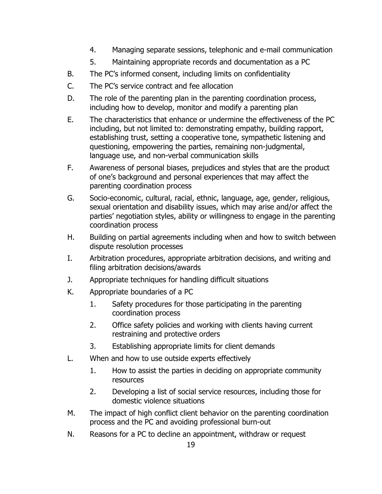- 4. Managing separate sessions, telephonic and e-mail communication
- 5. Maintaining appropriate records and documentation as a PC
- B. The PC's informed consent, including limits on confidentiality
- C. The PC's service contract and fee allocation
- D. The role of the parenting plan in the parenting coordination process, including how to develop, monitor and modify a parenting plan
- E. The characteristics that enhance or undermine the effectiveness of the PC including, but not limited to: demonstrating empathy, building rapport, establishing trust, setting a cooperative tone, sympathetic listening and questioning, empowering the parties, remaining non-judgmental, language use, and non-verbal communication skills
- F. Awareness of personal biases, prejudices and styles that are the product of one's background and personal experiences that may affect the parenting coordination process
- G. Socio-economic, cultural, racial, ethnic, language, age, gender, religious, sexual orientation and disability issues, which may arise and/or affect the parties' negotiation styles, ability or willingness to engage in the parenting coordination process
- H. Building on partial agreements including when and how to switch between dispute resolution processes
- I. Arbitration procedures, appropriate arbitration decisions, and writing and filing arbitration decisions/awards
- J. Appropriate techniques for handling difficult situations
- K. Appropriate boundaries of a PC
	- 1. Safety procedures for those participating in the parenting coordination process
	- 2. Office safety policies and working with clients having current restraining and protective orders
	- 3. Establishing appropriate limits for client demands
- L. When and how to use outside experts effectively
	- 1. How to assist the parties in deciding on appropriate community resources
	- 2. Developing a list of social service resources, including those for domestic violence situations
- M. The impact of high conflict client behavior on the parenting coordination process and the PC and avoiding professional burn-out
- N. Reasons for a PC to decline an appointment, withdraw or request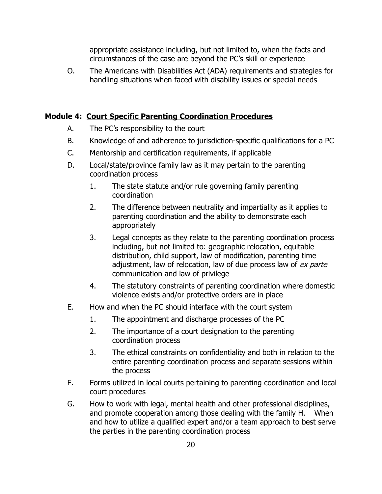appropriate assistance including, but not limited to, when the facts and circumstances of the case are beyond the PC's skill or experience

O. The Americans with Disabilities Act (ADA) requirements and strategies for handling situations when faced with disability issues or special needs

### **Module 4: Court Specific Parenting Coordination Procedures**

- A. The PC's responsibility to the court
- B. Knowledge of and adherence to jurisdiction-specific qualifications for a PC
- C. Mentorship and certification requirements, if applicable
- D. Local/state/province family law as it may pertain to the parenting coordination process
	- 1. The state statute and/or rule governing family parenting coordination
	- 2. The difference between neutrality and impartiality as it applies to parenting coordination and the ability to demonstrate each appropriately
	- 3. Legal concepts as they relate to the parenting coordination process including, but not limited to: geographic relocation, equitable distribution, child support, law of modification, parenting time adjustment, law of relocation, law of due process law of ex parte communication and law of privilege
	- 4. The statutory constraints of parenting coordination where domestic violence exists and/or protective orders are in place
- E. How and when the PC should interface with the court system
	- 1. The appointment and discharge processes of the PC
	- 2. The importance of a court designation to the parenting coordination process
	- 3. The ethical constraints on confidentiality and both in relation to the entire parenting coordination process and separate sessions within the process
- F. Forms utilized in local courts pertaining to parenting coordination and local court procedures
- G. How to work with legal, mental health and other professional disciplines, and promote cooperation among those dealing with the family H. When and how to utilize a qualified expert and/or a team approach to best serve the parties in the parenting coordination process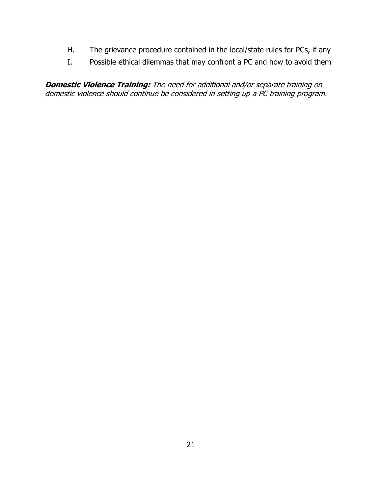- H. The grievance procedure contained in the local/state rules for PCs, if any
- I. Possible ethical dilemmas that may confront a PC and how to avoid them

**Domestic Violence Training:** The need for additional and/or separate training on domestic violence should continue be considered in setting up a PC training program.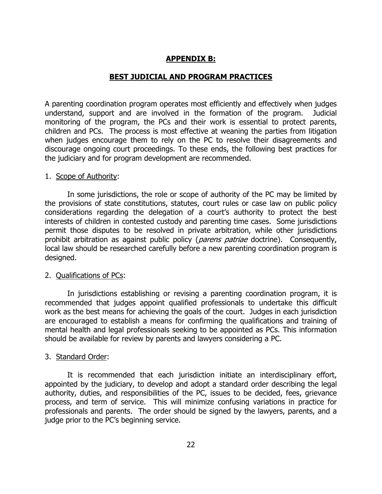### **APPENDIX B:**

### **BEST JUDICIAL AND PROGRAM PRACTICES**

A parenting coordination program operates most efficiently and effectively when judges understand, support and are involved in the formation of the program. Judicial monitoring of the program, the PCs and their work is essential to protect parents, children and PCs. The process is most effective at weaning the parties from litigation when judges encourage them to rely on the PC to resolve their disagreements and discourage ongoing court proceedings. To these ends, the following best practices for the judiciary and for program development are recommended.

#### 1. Scope of Authority:

In some jurisdictions, the role or scope of authority of the PC may be limited by the provisions of state constitutions, statutes, court rules or case law on public policy considerations regarding the delegation of a court's authority to protect the best interests of children in contested custody and parenting time cases. Some jurisdictions permit those disputes to be resolved in private arbitration, while other jurisdictions prohibit arbitration as against public policy (*parens patriae* doctrine). Consequently, local law should be researched carefully before a new parenting coordination program is designed.

### 2. Qualifications of PCs:

In jurisdictions establishing or revising a parenting coordination program, it is recommended that judges appoint qualified professionals to undertake this difficult work as the best means for achieving the goals of the court. Judges in each jurisdiction are encouraged to establish a means for confirming the qualifications and training of mental health and legal professionals seeking to be appointed as PCs. This information should be available for review by parents and lawyers considering a PC.

### 3. Standard Order:

It is recommended that each jurisdiction initiate an interdisciplinary effort, appointed by the judiciary, to develop and adopt a standard order describing the legal authority, duties, and responsibilities of the PC, issues to be decided, fees, grievance process, and term of service. This will minimize confusing variations in practice for professionals and parents. The order should be signed by the lawyers, parents, and a judge prior to the PC's beginning service.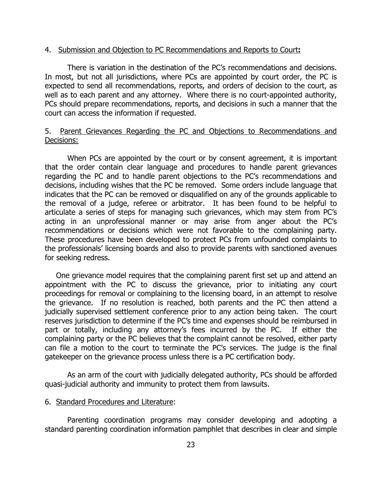#### 4. Submission and Objection to PC Recommendations and Reports to Court**:**

There is variation in the destination of the PC's recommendations and decisions. In most, but not all jurisdictions, where PCs are appointed by court order, the PC is expected to send all recommendations, reports, and orders of decision to the court, as well as to each parent and any attorney. Where there is no court-appointed authority, PCs should prepare recommendations, reports, and decisions in such a manner that the court can access the information if requested.

### 5. Parent Grievances Regarding the PC and Objections to Recommendations and Decisions:

When PCs are appointed by the court or by consent agreement, it is important that the order contain clear language and procedures to handle parent grievances regarding the PC and to handle parent objections to the PC's recommendations and decisions, including wishes that the PC be removed. Some orders include language that indicates that the PC can be removed or disqualified on any of the grounds applicable to the removal of a judge, referee or arbitrator. It has been found to be helpful to articulate a series of steps for managing such grievances, which may stem from PC's acting in an unprofessional manner or may arise from anger about the PC's recommendations or decisions which were not favorable to the complaining party. These procedures have been developed to protect PCs from unfounded complaints to the professionals' licensing boards and also to provide parents with sanctioned avenues for seeking redress.

One grievance model requires that the complaining parent first set up and attend an appointment with the PC to discuss the grievance, prior to initiating any court proceedings for removal or complaining to the licensing board, in an attempt to resolve the grievance. If no resolution is reached, both parents and the PC then attend a judicially supervised settlement conference prior to any action being taken. The court reserves jurisdiction to determine if the PC's time and expenses should be reimbursed in part or totally, including any attorney's fees incurred by the PC. If either the complaining party or the PC believes that the complaint cannot be resolved, either party can file a motion to the court to terminate the PC's services. The judge is the final gatekeeper on the grievance process unless there is a PC certification body.

As an arm of the court with judicially delegated authority, PCs should be afforded quasi-judicial authority and immunity to protect them from lawsuits.

### 6. Standard Procedures and Literature:

Parenting coordination programs may consider developing and adopting a standard parenting coordination information pamphlet that describes in clear and simple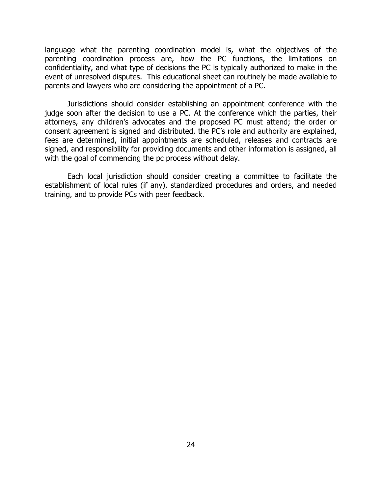language what the parenting coordination model is, what the objectives of the parenting coordination process are, how the PC functions, the limitations on confidentiality, and what type of decisions the PC is typically authorized to make in the event of unresolved disputes. This educational sheet can routinely be made available to parents and lawyers who are considering the appointment of a PC.

Jurisdictions should consider establishing an appointment conference with the judge soon after the decision to use a PC. At the conference which the parties, their attorneys, any children's advocates and the proposed PC must attend; the order or consent agreement is signed and distributed, the PC's role and authority are explained, fees are determined, initial appointments are scheduled, releases and contracts are signed, and responsibility for providing documents and other information is assigned, all with the goal of commencing the pc process without delay.

Each local jurisdiction should consider creating a committee to facilitate the establishment of local rules (if any), standardized procedures and orders, and needed training, and to provide PCs with peer feedback.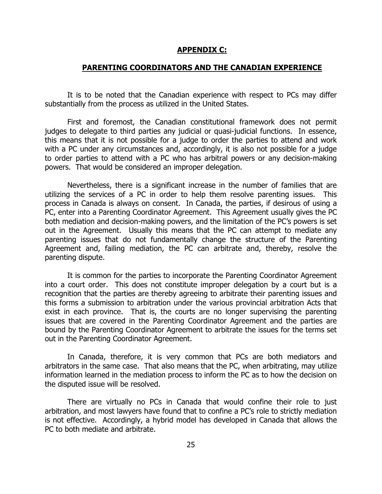#### **APPENDIX C:**

#### **PARENTING COORDINATORS AND THE CANADIAN EXPERIENCE**

It is to be noted that the Canadian experience with respect to PCs may differ substantially from the process as utilized in the United States.

 First and foremost, the Canadian constitutional framework does not permit judges to delegate to third parties any judicial or quasi-judicial functions. In essence, this means that it is not possible for a judge to order the parties to attend and work with a PC under any circumstances and, accordingly, it is also not possible for a judge to order parties to attend with a PC who has arbitral powers or any decision-making powers. That would be considered an improper delegation.

 Nevertheless, there is a significant increase in the number of families that are utilizing the services of a PC in order to help them resolve parenting issues. This process in Canada is always on consent. In Canada, the parties, if desirous of using a PC, enter into a Parenting Coordinator Agreement. This Agreement usually gives the PC both mediation and decision-making powers, and the limitation of the PC's powers is set out in the Agreement. Usually this means that the PC can attempt to mediate any parenting issues that do not fundamentally change the structure of the Parenting Agreement and, failing mediation, the PC can arbitrate and, thereby, resolve the parenting dispute.

 It is common for the parties to incorporate the Parenting Coordinator Agreement into a court order. This does not constitute improper delegation by a court but is a recognition that the parties are thereby agreeing to arbitrate their parenting issues and this forms a submission to arbitration under the various provincial arbitration Acts that exist in each province. That is, the courts are no longer supervising the parenting issues that are covered in the Parenting Coordinator Agreement and the parties are bound by the Parenting Coordinator Agreement to arbitrate the issues for the terms set out in the Parenting Coordinator Agreement.

 In Canada, therefore, it is very common that PCs are both mediators and arbitrators in the same case. That also means that the PC, when arbitrating, may utilize information learned in the mediation process to inform the PC as to how the decision on the disputed issue will be resolved.

 There are virtually no PCs in Canada that would confine their role to just arbitration, and most lawyers have found that to confine a PC's role to strictly mediation is not effective. Accordingly, a hybrid model has developed in Canada that allows the PC to both mediate and arbitrate.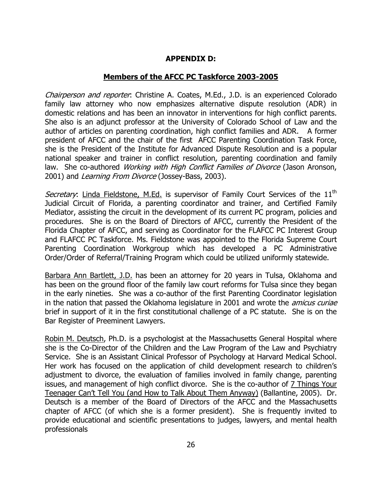### **APPENDIX D:**

### **Members of the AFCC PC Taskforce 2003-2005**

Chairperson and reporter. Christine A. Coates, M.Ed., J.D. is an experienced Colorado family law attorney who now emphasizes alternative dispute resolution (ADR) in domestic relations and has been an innovator in interventions for high conflict parents. She also is an adjunct professor at the University of Colorado School of Law and the author of articles on parenting coordination, high conflict families and ADR. A former president of AFCC and the chair of the first AFCC Parenting Coordination Task Force, she is the President of the Institute for Advanced Dispute Resolution and is a popular national speaker and trainer in conflict resolution, parenting coordination and family law. She co-authored *Working with High Conflict Families of Divorce* (Jason Aronson, 2001) and Learning From Divorce (Jossey-Bass, 2003).

Secretary: Linda Fieldstone, M.Ed. is supervisor of Family Court Services of the 11<sup>th</sup> Judicial Circuit of Florida, a parenting coordinator and trainer, and Certified Family Mediator, assisting the circuit in the development of its current PC program, policies and procedures. She is on the Board of Directors of AFCC, currently the President of the Florida Chapter of AFCC, and serving as Coordinator for the FLAFCC PC Interest Group and FLAFCC PC Taskforce. Ms. Fieldstone was appointed to the Florida Supreme Court Parenting Coordination Workgroup which has developed a PC Administrative Order/Order of Referral/Training Program which could be utilized uniformly statewide.

Barbara Ann Bartlett, J.D. has been an attorney for 20 years in Tulsa, Oklahoma and has been on the ground floor of the family law court reforms for Tulsa since they began in the early nineties. She was a co-author of the first Parenting Coordinator legislation in the nation that passed the Oklahoma legislature in 2001 and wrote the *amicus curiae* brief in support of it in the first constitutional challenge of a PC statute. She is on the Bar Register of Preeminent Lawyers.

Robin M. Deutsch, Ph.D. is a psychologist at the Massachusetts General Hospital where she is the Co-Director of the Children and the Law Program of the Law and Psychiatry Service. She is an Assistant Clinical Professor of Psychology at Harvard Medical School. Her work has focused on the application of child development research to children's adjustment to divorce, the evaluation of families involved in family change, parenting issues, and management of high conflict divorce. She is the co-author of 7 Things Your Teenager Can't Tell You (and How to Talk About Them Anyway) (Ballantine, 2005). Dr. Deutsch is a member of the Board of Directors of the AFCC and the Massachusetts chapter of AFCC (of which she is a former president). She is frequently invited to provide educational and scientific presentations to judges, lawyers, and mental health professionals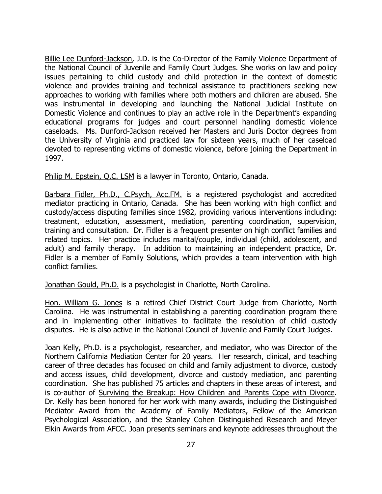Billie Lee Dunford-Jackson, J.D. is the Co-Director of the Family Violence Department of the National Council of Juvenile and Family Court Judges. She works on law and policy issues pertaining to child custody and child protection in the context of domestic violence and provides training and technical assistance to practitioners seeking new approaches to working with families where both mothers and children are abused. She was instrumental in developing and launching the National Judicial Institute on Domestic Violence and continues to play an active role in the Department's expanding educational programs for judges and court personnel handling domestic violence caseloads. Ms. Dunford-Jackson received her Masters and Juris Doctor degrees from the University of Virginia and practiced law for sixteen years, much of her caseload devoted to representing victims of domestic violence, before joining the Department in 1997.

Philip M. Epstein, Q.C. LSM is a lawyer in Toronto, Ontario, Canada.

Barbara Fidler, Ph.D., C.Psych, Acc.FM. is a registered psychologist and accredited mediator practicing in Ontario, Canada. She has been working with high conflict and custody/access disputing families since 1982, providing various interventions including: treatment, education, assessment, mediation, parenting coordination, supervision, training and consultation. Dr. Fidler is a frequent presenter on high conflict families and related topics. Her practice includes marital/couple, individual (child, adolescent, and adult) and family therapy. In addition to maintaining an independent practice, Dr. Fidler is a member of Family Solutions, which provides a team intervention with high conflict families.

Jonathan Gould, Ph.D. is a psychologist in Charlotte, North Carolina.

Hon. William G. Jones is a retired Chief District Court Judge from Charlotte, North Carolina. He was instrumental in establishing a parenting coordination program there and in implementing other initiatives to facilitate the resolution of child custody disputes. He is also active in the National Council of Juvenile and Family Court Judges.

Joan Kelly, Ph.D. is a psychologist, researcher, and mediator, who was Director of the Northern California Mediation Center for 20 years. Her research, clinical, and teaching career of three decades has focused on child and family adjustment to divorce, custody and access issues, child development, divorce and custody mediation, and parenting coordination. She has published 75 articles and chapters in these areas of interest, and is co-author of Surviving the Breakup: How Children and Parents Cope with Divorce. Dr. Kelly has been honored for her work with many awards, including the Distinguished Mediator Award from the Academy of Family Mediators, Fellow of the American Psychological Association, and the Stanley Cohen Distinguished Research and Meyer Elkin Awards from AFCC. Joan presents seminars and keynote addresses throughout the